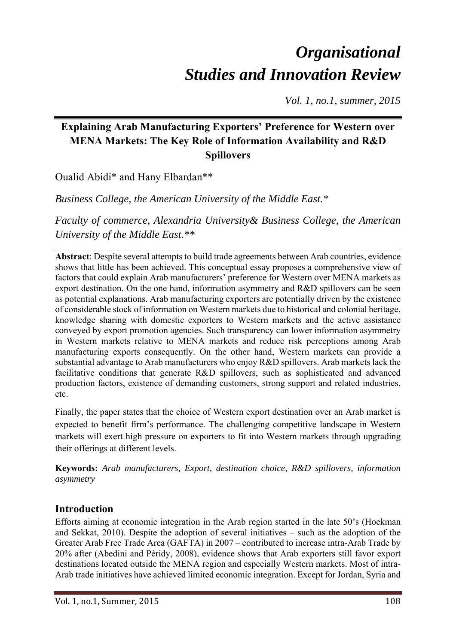# *Organisational Studies and Innovation Review*

*Vol. 1, no.1, summer, 2015* 

## **Explaining Arab Manufacturing Exporters' Preference for Western over MENA Markets: The Key Role of Information Availability and R&D Spillovers**

Oualid Abidi\* and Hany Elbardan\*\*

*Business College, the American University of the Middle East.\** 

*Faculty of commerce, Alexandria University& Business College, the American University of the Middle East.\*\** 

**Abstract**: Despite several attempts to build trade agreements between Arab countries, evidence shows that little has been achieved. This conceptual essay proposes a comprehensive view of factors that could explain Arab manufacturers' preference for Western over MENA markets as export destination. On the one hand, information asymmetry and R&D spillovers can be seen as potential explanations. Arab manufacturing exporters are potentially driven by the existence of considerable stock of information on Western markets due to historical and colonial heritage, knowledge sharing with domestic exporters to Western markets and the active assistance conveyed by export promotion agencies. Such transparency can lower information asymmetry in Western markets relative to MENA markets and reduce risk perceptions among Arab manufacturing exports consequently. On the other hand, Western markets can provide a substantial advantage to Arab manufacturers who enjoy R&D spillovers. Arab markets lack the facilitative conditions that generate R&D spillovers, such as sophisticated and advanced production factors, existence of demanding customers, strong support and related industries, etc.

Finally, the paper states that the choice of Western export destination over an Arab market is expected to benefit firm's performance. The challenging competitive landscape in Western markets will exert high pressure on exporters to fit into Western markets through upgrading their offerings at different levels.

**Keywords:** *Arab manufacturers, Export, destination choice, R&D spillovers, information asymmetry* 

## **Introduction**

Efforts aiming at economic integration in the Arab region started in the late 50's (Hoekman and Sekkat, 2010). Despite the adoption of several initiatives – such as the adoption of the Greater Arab Free Trade Area (GAFTA) in 2007 – contributed to increase intra-Arab Trade by 20% after (Abedini and Péridy, 2008), evidence shows that Arab exporters still favor export destinations located outside the MENA region and especially Western markets. Most of intra-Arab trade initiatives have achieved limited economic integration. Except for Jordan, Syria and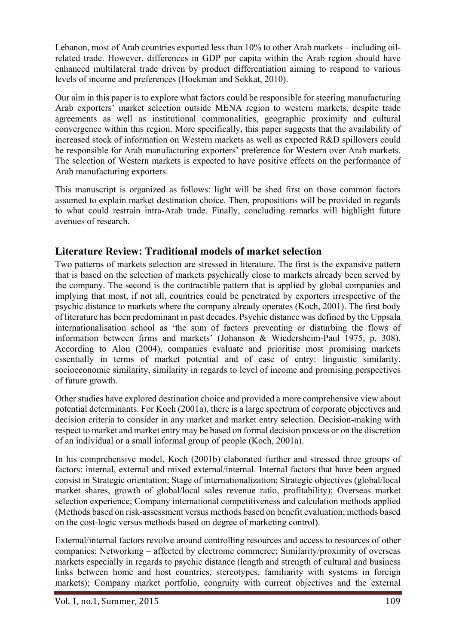Lebanon, most of Arab countries exported less than 10% to other Arab markets – including oilrelated trade. However, differences in GDP per capita within the Arab region should have enhanced multilateral trade driven by product differentiation aiming to respond to various levels of income and preferences (Hoekman and Sekkat, 2010).

Our aim in this paper is to explore what factors could be responsible for steering manufacturing Arab exporters' market selection outside MENA region to western markets, despite trade agreements as well as institutional commonalities, geographic proximity and cultural convergence within this region. More specifically, this paper suggests that the availability of increased stock of information on Western markets as well as expected R&D spillovers could be responsible for Arab manufacturing exporters' preference for Western over Arab markets. The selection of Western markets is expected to have positive effects on the performance of Arab manufacturing exporters.

This manuscript is organized as follows: light will be shed first on those common factors assumed to explain market destination choice. Then, propositions will be provided in regards to what could restrain intra-Arab trade. Finally, concluding remarks will highlight future avenues of research.

## **Literature Review: Traditional models of market selection**

Two patterns of markets selection are stressed in literature. The first is the expansive pattern that is based on the selection of markets psychically close to markets already been served by the company. The second is the contractible pattern that is applied by global companies and implying that most, if not all, countries could be penetrated by exporters irrespective of the psychic distance to markets where the company already operates (Koch, 2001). The first body of literature has been predominant in past decades. Psychic distance was defined by the Uppsala internationalisation school as 'the sum of factors preventing or disturbing the flows of information between firms and markets' (Johanson & Wiedersheim-Paul 1975, p. 308). According to Alon (2004), companies evaluate and prioritise most promising markets essentially in terms of market potential and of ease of entry: linguistic similarity, socioeconomic similarity, similarity in regards to level of income and promising perspectives of future growth.

Other studies have explored destination choice and provided a more comprehensive view about potential determinants. For Koch (2001a), there is a large spectrum of corporate objectives and decision criteria to consider in any market and market entry selection. Decision-making with respect to market and market entry may be based on formal decision process or on the discretion of an individual or a small informal group of people (Koch, 2001a).

In his comprehensive model, Koch (2001b) elaborated further and stressed three groups of factors: internal, external and mixed external/internal. Internal factors that have been argued consist in Strategic orientation; Stage of internationalization; Strategic objectives (global/local market shares, growth of global/local sales revenue ratio, profitability); Overseas market selection experience; Company international competitiveness and calculation methods applied (Methods based on risk-assessment versus methods based on benefit evaluation; methods based on the cost-logic versus methods based on degree of marketing control).

External/internal factors revolve around controlling resources and access to resources of other companies; Networking – affected by electronic commerce; Similarity/proximity of overseas markets especially in regards to psychic distance (length and strength of cultural and business links between home and host countries, stereotypes, familiarity with systems in foreign markets); Company market portfolio, congruity with current objectives and the external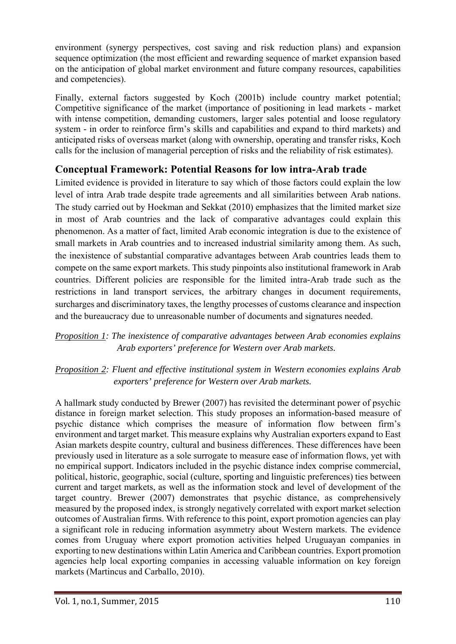environment (synergy perspectives, cost saving and risk reduction plans) and expansion sequence optimization (the most efficient and rewarding sequence of market expansion based on the anticipation of global market environment and future company resources, capabilities and competencies).

Finally, external factors suggested by Koch (2001b) include country market potential; Competitive significance of the market (importance of positioning in lead markets - market with intense competition, demanding customers, larger sales potential and loose regulatory system - in order to reinforce firm's skills and capabilities and expand to third markets) and anticipated risks of overseas market (along with ownership, operating and transfer risks, Koch calls for the inclusion of managerial perception of risks and the reliability of risk estimates).

## **Conceptual Framework: Potential Reasons for low intra-Arab trade**

Limited evidence is provided in literature to say which of those factors could explain the low level of intra Arab trade despite trade agreements and all similarities between Arab nations. The study carried out by Hoekman and Sekkat (2010) emphasizes that the limited market size in most of Arab countries and the lack of comparative advantages could explain this phenomenon. As a matter of fact, limited Arab economic integration is due to the existence of small markets in Arab countries and to increased industrial similarity among them. As such, the inexistence of substantial comparative advantages between Arab countries leads them to compete on the same export markets. This study pinpoints also institutional framework in Arab countries. Different policies are responsible for the limited intra-Arab trade such as the restrictions in land transport services, the arbitrary changes in document requirements, surcharges and discriminatory taxes, the lengthy processes of customs clearance and inspection and the bureaucracy due to unreasonable number of documents and signatures needed.

*Proposition 1: The inexistence of comparative advantages between Arab economies explains Arab exporters' preference for Western over Arab markets.* 

## *Proposition 2: Fluent and effective institutional system in Western economies explains Arab exporters' preference for Western over Arab markets.*

A hallmark study conducted by Brewer (2007) has revisited the determinant power of psychic distance in foreign market selection. This study proposes an information-based measure of psychic distance which comprises the measure of information flow between firm's environment and target market. This measure explains why Australian exporters expand to East Asian markets despite country, cultural and business differences. These differences have been previously used in literature as a sole surrogate to measure ease of information flows, yet with no empirical support. Indicators included in the psychic distance index comprise commercial, political, historic, geographic, social (culture, sporting and linguistic preferences) ties between current and target markets, as well as the information stock and level of development of the target country. Brewer (2007) demonstrates that psychic distance, as comprehensively measured by the proposed index, is strongly negatively correlated with export market selection outcomes of Australian firms. With reference to this point, export promotion agencies can play a significant role in reducing information asymmetry about Western markets. The evidence comes from Uruguay where export promotion activities helped Uruguayan companies in exporting to new destinations within Latin America and Caribbean countries. Export promotion agencies help local exporting companies in accessing valuable information on key foreign markets (Martincus and Carballo, 2010).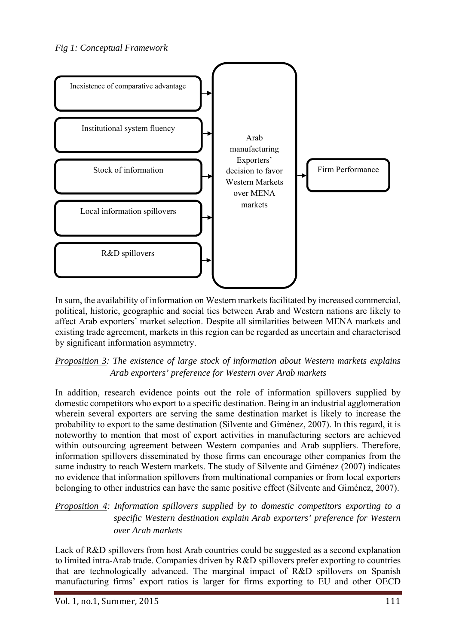

In sum, the availability of information on Western markets facilitated by increased commercial, political, historic, geographic and social ties between Arab and Western nations are likely to affect Arab exporters' market selection. Despite all similarities between MENA markets and existing trade agreement, markets in this region can be regarded as uncertain and characterised by significant information asymmetry.

#### *Proposition 3: The existence of large stock of information about Western markets explains Arab exporters' preference for Western over Arab markets*

In addition, research evidence points out the role of information spillovers supplied by domestic competitors who export to a specific destination. Being in an industrial agglomeration wherein several exporters are serving the same destination market is likely to increase the probability to export to the same destination (Silvente and Giménez, 2007). In this regard, it is noteworthy to mention that most of export activities in manufacturing sectors are achieved within outsourcing agreement between Western companies and Arab suppliers. Therefore, information spillovers disseminated by those firms can encourage other companies from the same industry to reach Western markets. The study of Silvente and Giménez (2007) indicates no evidence that information spillovers from multinational companies or from local exporters belonging to other industries can have the same positive effect (Silvente and Giménez, 2007).

#### *Proposition 4: Information spillovers supplied by to domestic competitors exporting to a specific Western destination explain Arab exporters' preference for Western over Arab markets*

Lack of R&D spillovers from host Arab countries could be suggested as a second explanation to limited intra-Arab trade. Companies driven by R&D spillovers prefer exporting to countries that are technologically advanced. The marginal impact of R&D spillovers on Spanish manufacturing firms' export ratios is larger for firms exporting to EU and other OECD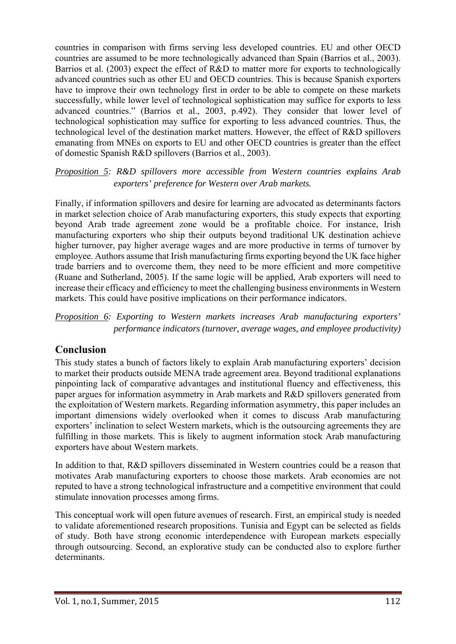countries in comparison with firms serving less developed countries. EU and other OECD countries are assumed to be more technologically advanced than Spain (Barrios et al., 2003). Barrios et al. (2003) expect the effect of R&D to matter more for exports to technologically advanced countries such as other EU and OECD countries. This is because Spanish exporters have to improve their own technology first in order to be able to compete on these markets successfully, while lower level of technological sophistication may suffice for exports to less advanced countries." (Barrios et al., 2003, p.492). They consider that lower level of technological sophistication may suffice for exporting to less advanced countries. Thus, the technological level of the destination market matters. However, the effect of R&D spillovers emanating from MNEs on exports to EU and other OECD countries is greater than the effect of domestic Spanish R&D spillovers (Barrios et al., 2003).

#### *Proposition 5: R&D spillovers more accessible from Western countries explains Arab exporters' preference for Western over Arab markets.*

Finally, if information spillovers and desire for learning are advocated as determinants factors in market selection choice of Arab manufacturing exporters, this study expects that exporting beyond Arab trade agreement zone would be a profitable choice. For instance, Irish manufacturing exporters who ship their outputs beyond traditional UK destination achieve higher turnover, pay higher average wages and are more productive in terms of turnover by employee. Authors assume that Irish manufacturing firms exporting beyond the UK face higher trade barriers and to overcome them, they need to be more efficient and more competitive (Ruane and Sutherland, 2005). If the same logic will be applied, Arab exporters will need to increase their efficacy and efficiency to meet the challenging business environments in Western markets. This could have positive implications on their performance indicators.

*Proposition 6: Exporting to Western markets increases Arab manufacturing exporters' performance indicators (turnover, average wages, and employee productivity)* 

## **Conclusion**

This study states a bunch of factors likely to explain Arab manufacturing exporters' decision to market their products outside MENA trade agreement area. Beyond traditional explanations pinpointing lack of comparative advantages and institutional fluency and effectiveness, this paper argues for information asymmetry in Arab markets and R&D spillovers generated from the exploitation of Western markets. Regarding information asymmetry, this paper includes an important dimensions widely overlooked when it comes to discuss Arab manufacturing exporters' inclination to select Western markets, which is the outsourcing agreements they are fulfilling in those markets. This is likely to augment information stock Arab manufacturing exporters have about Western markets.

In addition to that, R&D spillovers disseminated in Western countries could be a reason that motivates Arab manufacturing exporters to choose those markets. Arab economies are not reputed to have a strong technological infrastructure and a competitive environment that could stimulate innovation processes among firms.

This conceptual work will open future avenues of research. First, an empirical study is needed to validate aforementioned research propositions. Tunisia and Egypt can be selected as fields of study. Both have strong economic interdependence with European markets especially through outsourcing. Second, an explorative study can be conducted also to explore further determinants.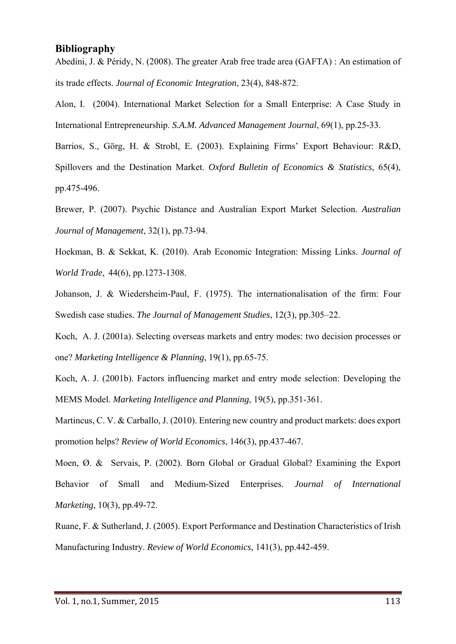#### **Bibliography**

Abedini, J. & Péridy, N. (2008). The greater Arab free trade area (GAFTA) : An estimation of its trade effects. *Journal of Economic Integration*, 23(4), 848-872.

Alon, I. (2004). International Market Selection for a Small Enterprise: A Case Study in International Entrepreneurship. *S.A.M. Advanced Management Journal*, 69(1), pp.25-33.

Barrios, S., Görg, H. & Strobl, E. (2003). Explaining Firms' Export Behaviour: R&D, Spillovers and the Destination Market. *Oxford Bulletin of Economics & Statistics*, 65(4), pp.475-496.

Brewer, P. (2007). Psychic Distance and Australian Export Market Selection. *Australian Journal of Management*, 32(1), pp.73-94.

Hoekman, B. & Sekkat, K. (2010). Arab Economic Integration: Missing Links. *Journal of World Trade*, 44(6), pp.1273-1308.

Johanson, J. & Wiedersheim-Paul, F. (1975). The internationalisation of the firm: Four Swedish case studies. *The Journal of Management Studies*, 12(3), pp.305–22.

Koch, A. J. (2001a). Selecting overseas markets and entry modes: two decision processes or one? *Marketing Intelligence & Planning*, 19(1), pp.65-75.

Koch, A. J. (2001b). Factors influencing market and entry mode selection: Developing the MEMS Model. *Marketing Intelligence and Planning*, 19(5), pp.351-361.

Martincus, C. V. & Carballo, J. (2010). Entering new country and product markets: does export promotion helps? *Review of World Economics*, 146(3), pp.437-467.

Moen, Ø. & Servais, P. (2002). Born Global or Gradual Global? Examining the Export Behavior of Small and Medium-Sized Enterprises. *Journal of International Marketing*, 10(3), pp.49-72.

Ruane, F. & Sutherland, J. (2005). Export Performance and Destination Characteristics of Irish Manufacturing Industry. *Review of World Economics*, 141(3), pp.442-459.